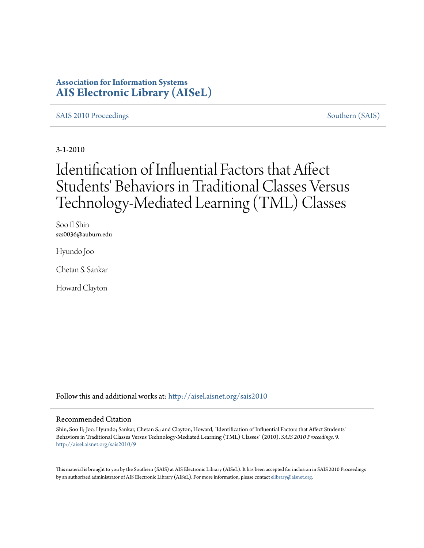## **Association for Information Systems [AIS Electronic Library \(AISeL\)](http://aisel.aisnet.org?utm_source=aisel.aisnet.org%2Fsais2010%2F9&utm_medium=PDF&utm_campaign=PDFCoverPages)**

#### [SAIS 2010 Proceedings](http://aisel.aisnet.org/sais2010?utm_source=aisel.aisnet.org%2Fsais2010%2F9&utm_medium=PDF&utm_campaign=PDFCoverPages) [Southern \(SAIS\)](http://aisel.aisnet.org/sais?utm_source=aisel.aisnet.org%2Fsais2010%2F9&utm_medium=PDF&utm_campaign=PDFCoverPages)

3-1-2010

# Identification of Influential Factors that Affect Students' Behaviors in Traditional Classes Versus Technology-Mediated Learning (TML) Classes

Soo Il Shin szs0036@auburn.edu

Hyundo Joo

Chetan S. Sankar

Howard Clayton

Follow this and additional works at: [http://aisel.aisnet.org/sais2010](http://aisel.aisnet.org/sais2010?utm_source=aisel.aisnet.org%2Fsais2010%2F9&utm_medium=PDF&utm_campaign=PDFCoverPages)

#### Recommended Citation

Shin, Soo Il; Joo, Hyundo; Sankar, Chetan S.; and Clayton, Howard, "Identification of Influential Factors that Affect Students' Behaviors in Traditional Classes Versus Technology-Mediated Learning (TML) Classes" (2010). *SAIS 2010 Proceedings*. 9. [http://aisel.aisnet.org/sais2010/9](http://aisel.aisnet.org/sais2010/9?utm_source=aisel.aisnet.org%2Fsais2010%2F9&utm_medium=PDF&utm_campaign=PDFCoverPages)

This material is brought to you by the Southern (SAIS) at AIS Electronic Library (AISeL). It has been accepted for inclusion in SAIS 2010 Proceedings by an authorized administrator of AIS Electronic Library (AISeL). For more information, please contact [elibrary@aisnet.org](mailto:elibrary@aisnet.org%3E).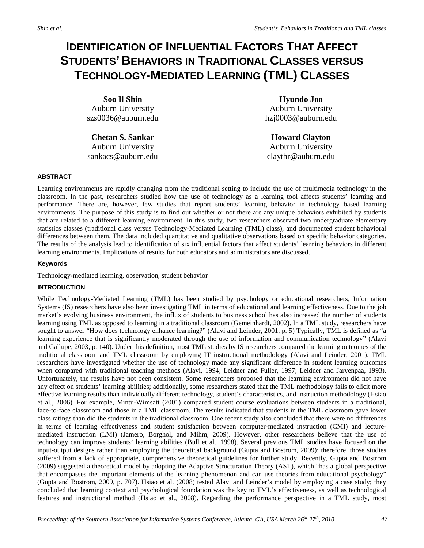# **IDENTIFICATION OF INFLUENTIAL FACTORS THAT AFFECT STUDENTS' BEHAVIORS IN TRADITIONAL CLASSES VERSUS TECHNOLOGY-MEDIATED LEARNING (TML) CLASSES**

**Soo Il Shin** Auburn University szs0036@auburn.edu

**Chetan S. Sankar** Auburn University sankacs@auburn.edu

**Hyundo Joo** Auburn University hzj0003@auburn.edu

**Howard Clayton** Auburn University claythr@auburn.edu

#### **ABSTRACT**

Learning environments are rapidly changing from the traditional setting to include the use of multimedia technology in the classroom. In the past, researchers studied how the use of technology as a learning tool affects students' learning and performance. There are, however, few studies that report students' learning behavior in technology based learning environments. The purpose of this study is to find out whether or not there are any unique behaviors exhibited by students that are related to a different learning environment. In this study, two researchers observed two undergraduate elementary statistics classes (traditional class versus Technology-Mediated Learning (TML) class), and documented student behavioral differences between them. The data included quantitative and qualitative observations based on specific behavior categories. The results of the analysis lead to identification of six influential factors that affect students' learning behaviors in different learning environments. Implications of results for both educators and administrators are discussed.

#### **Keywords**

Technology-mediated learning, observation, student behavior

#### **INTRODUCTION**

While Technology-Mediated Learning (TML) has been studied by psychology or educational researchers, Information Systems (IS) researchers have also been investigating TML in terms of educational and learning effectiveness. Due to the job market's evolving business environment, the influx of students to business school has also increased the number of students learning using TML as opposed to learning in a traditional classroom (Gemeinhardt, 2002). In a TML study, researchers have sought to answer "How does technology enhance learning?" (Alavi and Leinder, 2001, p. 5) Typically, TML is defined as "a learning experience that is significantly moderated through the use of information and communication technology" (Alavi and Gallupe, 2003, p. 140). Under this definition, most TML studies by IS researchers compared the learning outcomes of the traditional classroom and TML classroom by employing IT instructional methodology (Alavi and Leinder, 2001). TML researchers have investigated whether the use of technology made any significant difference in student learning outcomes when compared with traditional teaching methods (Alavi, 1994; Leidner and Fuller, 1997; Leidner and Jarvenpaa, 1993). Unfortunately, the results have not been consistent. Some researchers proposed that the learning environment did not have any effect on students' learning abilities; additionally, some researchers stated that the TML methodology fails to elicit more effective learning results than individually different technology, student's characteristics, and instruction methodology (Hsiao et al., 2006). For example, Mintu-Wimsatt (2001) compared student course evaluations between students in a traditional, face-to-face classroom and those in a TML classroom. The results indicated that students in the TML classroom gave lower class ratings than did the students in the traditional classroom. One recent study also concluded that there were no differences in terms of learning effectiveness and student satisfaction between computer-mediated instruction (CMI) and lecturemediated instruction (LMI) (Jamero, Borghol, and Mihm, 2009). However, other researchers believe that the use of technology can improve students' learning abilities (Bull et al., 1998). Several previous TML studies have focused on the input-output designs rather than employing the theoretical background (Gupta and Bostrom, 2009); therefore, those studies suffered from a lack of appropriate, comprehensive theoretical guidelines for further study. Recently, Gupta and Bostrom (2009) suggested a theoretical model by adopting the Adaptive Structuration Theory (AST), which "has a global perspective that encompasses the important elements of the learning phenomenon and can use theories from educational psychology" (Gupta and Bostrom, 2009, p. 707). Hsiao et al. (2008) tested Alavi and Leinder's model by employing a case study; they concluded that learning context and psychological foundation was the key to TML's effectiveness, as well as technological features and instructional method (Hsiao et al., 2008). Regarding the performance perspective in a TML study, most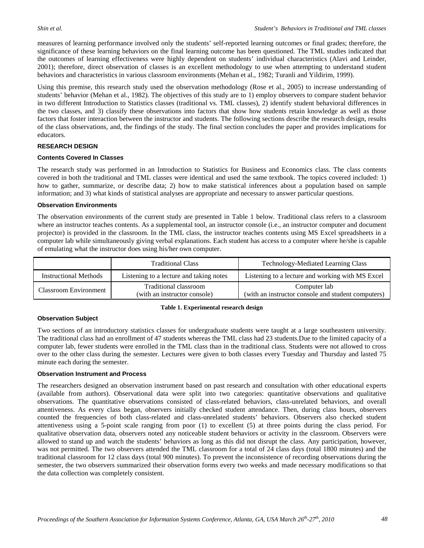measures of learning performance involved only the students' self-reported learning outcomes or final grades; therefore, the significance of these learning behaviors on the final learning outcome has been questioned. The TML studies indicated that the outcomes of learning effectiveness were highly dependent on students' individual characteristics (Alavi and Leinder, 2001); therefore, direct observation of classes is an excellent methodology to use when attempting to understand student behaviors and characteristics in various classroom environments (Mehan et al., 1982; Turanli and Yildirim, 1999).

Using this premise, this research study used the observation methodology (Rose et al., 2005) to increase understanding of students' behavior (Mehan et al., 1982). The objectives of this study are to 1) employ observers to compare student behavior in two different Introduction to Statistics classes (traditional vs. TML classes), 2) identify student behavioral differences in the two classes, and 3) classify these observations into factors that show how students retain knowledge as well as those factors that foster interaction between the instructor and students. The following sections describe the research design, results of the class observations, and, the findings of the study. The final section concludes the paper and provides implications for educators.

#### **RESEARCH DESIGN**

#### **Contents Covered In Classes**

The research study was performed in an Introduction to Statistics for Business and Economics class. The class contents covered in both the traditional and TML classes were identical and used the same textbook. The topics covered included: 1) how to gather, summarize, or describe data; 2) how to make statistical inferences about a population based on sample information; and 3) what kinds of statistical analyses are appropriate and necessary to answer particular questions.

#### **Observation Environments**

The observation environments of the current study are presented in Table 1 below. Traditional class refers to a classroom where an instructor teaches contents. As a supplemental tool, an instructor console (i.e., an instructor computer and document projector) is provided in the classroom. In the TML class, the instructor teaches contents using MS Excel spreadsheets in a computer lab while simultaneously giving verbal explanations. Each student has access to a computer where he/she is capable of emulating what the instructor does using his/her own computer.

|                              | <b>Traditional Class</b>                              | Technology-Mediated Learning Class                                 |  |
|------------------------------|-------------------------------------------------------|--------------------------------------------------------------------|--|
| Instructional Methods        | Listening to a lecture and taking notes               | Listening to a lecture and working with MS Excel                   |  |
| <b>Classroom Environment</b> | Traditional classroom<br>(with an instructor console) | Computer lab<br>(with an instructor console and student computers) |  |

#### **Table 1. Experimental research design**

#### **Observation Subject**

Two sections of an introductory statistics classes for undergraduate students were taught at a large southeastern university. The traditional class had an enrollment of 47 students whereas the TML class had 23 students.Due to the limited capacity of a computer lab, fewer students were enrolled in the TML class than in the traditional class. Students were not allowed to cross over to the other class during the semester. Lectures were given to both classes every Tuesday and Thursday and lasted 75 minute each during the semester.

#### **Observation Instrument and Process**

The researchers designed an observation instrument based on past research and consultation with other educational experts (available from authors). Observational data were split into two categories: quantitative observations and qualitative observations. The quantitative observations consisted of class-related behaviors, class-unrelated behaviors, and overall attentiveness. As every class began, observers initially checked student attendance. Then, during class hours, observers counted the frequencies of both class-related and class-unrelated students' behaviors. Observers also checked student attentiveness using a 5-point scale ranging from poor (1) to excellent (5) at three points during the class period. For qualitative observation data, observers noted any noticeable student behaviors or activity in the classroom. Observers were allowed to stand up and watch the students' behaviors as long as this did not disrupt the class. Any participation, however, was not permitted. The two observers attended the TML classroom for a total of 24 class days (total 1800 minutes) and the traditional classroom for 12 class days (total 900 minutes). To prevent the inconsistence of recording observations during the semester, the two observers summarized their observation forms every two weeks and made necessary modifications so that the data collection was completely consistent.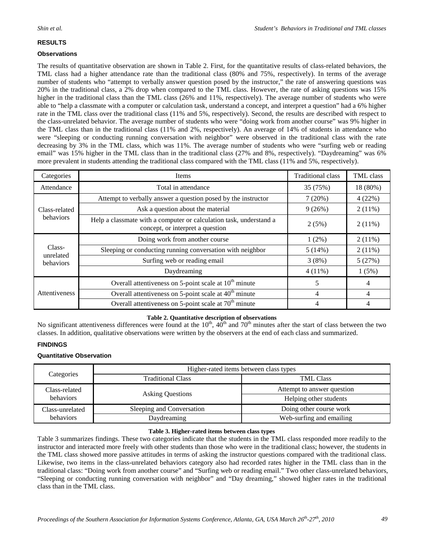### **RESULTS**

#### **Observations**

The results of quantitative observation are shown in Table 2. First, for the quantitative results of class-related behaviors, the TML class had a higher attendance rate than the traditional class (80% and 75%, respectively). In terms of the average number of students who "attempt to verbally answer question posed by the instructor," the rate of answering questions was 20% in the traditional class, a 2% drop when compared to the TML class. However, the rate of asking questions was 15% higher in the traditional class than the TML class (26% and 11%, respectively). The average number of students who were able to "help a classmate with a computer or calculation task, understand a concept, and interpret a question" had a 6% higher rate in the TML class over the traditional class (11% and 5%, respectively). Second, the results are described with respect to the class-unrelated behavior. The average number of students who were "doing work from another course" was 9% higher in the TML class than in the traditional class (11% and 2%, respectively). An average of 14% of students in attendance who were "sleeping or conducting running conversation with neighbor" were observed in the traditional class with the rate decreasing by 3% in the TML class, which was 11%. The average number of students who were "surfing web or reading email" was 15% higher in the TML class than in the traditional class (27% and 8%, respectively). "Daydreaming" was 6% more prevalent in students attending the traditional class compared with the TML class (11% and 5%, respectively).

| Categories                       | <b>Items</b>                                                                                           | <b>Traditional class</b> | TML class |
|----------------------------------|--------------------------------------------------------------------------------------------------------|--------------------------|-----------|
| Attendance                       | Total in attendance                                                                                    | 35 (75%)                 | 18 (80%)  |
| Class-related<br>behaviors       | Attempt to verbally answer a question posed by the instructor                                          | 7(20%)                   | 4(22%)    |
|                                  | Ask a question about the material                                                                      | 9(26%)                   | $2(11\%)$ |
|                                  | Help a classmate with a computer or calculation task, understand a<br>concept, or interpret a question | 2(5%)                    | $2(11\%)$ |
| Class-<br>unrelated<br>behaviors | Doing work from another course                                                                         | $1(2\%)$                 | $2(11\%)$ |
|                                  | Sleeping or conducting running conversation with neighbor                                              | 5(14%)                   | $2(11\%)$ |
|                                  | Surfing web or reading email                                                                           | 3(8%)                    | 5(27%)    |
|                                  | Daydreaming                                                                                            | $4(11\%)$                | 1(5%)     |
| Attentiveness                    | Overall attentiveness on 5-point scale at $10th$ minute                                                | 5                        | 4         |
|                                  | Overall attentiveness on 5-point scale at $40th$ minute                                                | 4                        | 4         |
|                                  | Overall attentiveness on 5-point scale at $70th$ minute                                                | 4                        | 4         |

#### **Table 2. Quantitative description of observations**

No significant attentiveness differences were found at the  $10^{th}$ ,  $40^{th}$  and  $70^{th}$  minutes after the start of class between the two classes. In addition, qualitative observations were written by the observers at the end of each class and summarized.

#### **FINDINGS**

#### **Quantitative Observation**

| Categories      | Higher-rated items between class types |                            |  |
|-----------------|----------------------------------------|----------------------------|--|
|                 | <b>Traditional Class</b>               | <b>TML Class</b>           |  |
| Class-related   | <b>Asking Questions</b>                | Attempt to answer question |  |
| behaviors       |                                        | Helping other students     |  |
| Class-unrelated | Sleeping and Conversation              | Doing other course work    |  |
| behaviors       | Daydreaming                            | Web-surfing and emailing   |  |

#### **Table 3. Higher-rated items between class types**

Table 3 summarizes findings. These two categories indicate that the students in the TML class responded more readily to the instructor and interacted more freely with other students than those who were in the traditional class; however, the students in the TML class showed more passive attitudes in terms of asking the instructor questions compared with the traditional class. Likewise, two items in the class-unrelated behaviors category also had recorded rates higher in the TML class than in the traditional class: "Doing work from another course" and "Surfing web or reading email." Two other class-unrelated behaviors, "Sleeping or conducting running conversation with neighbor" and "Day dreaming," showed higher rates in the traditional class than in the TML class.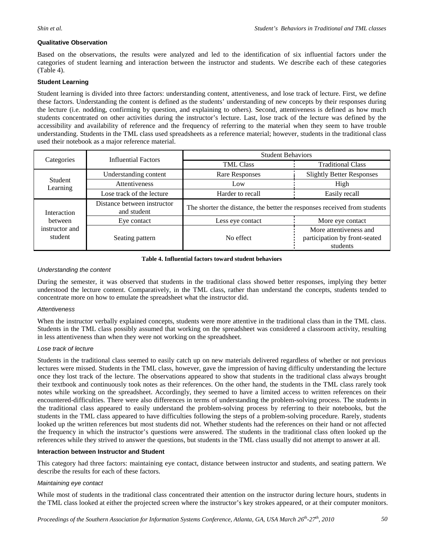#### **Qualitative Observation**

Based on the observations, the results were analyzed and led to the identification of six influential factors under the categories of student learning and interaction between the instructor and students. We describe each of these categories (Table 4).

#### **Student Learning**

Student learning is divided into three factors: understanding content, attentiveness, and lose track of lecture. First, we define these factors. Understanding the content is defined as the students' understanding of new concepts by their responses during the lecture (i.e. nodding, confirming by question, and explaining to others). Second, attentiveness is defined as how much students concentrated on other activities during the instructor's lecture. Last, lose track of the lecture was defined by the accessibility and availability of reference and the frequency of referring to the material when they seem to have trouble understanding. Students in the TML class used spreadsheets as a reference material; however, students in the traditional class used their notebook as a major reference material.

| Categories                                          | <b>Influential Factors</b>                 | <b>Student Behaviors</b>                                                  |                                                                     |  |
|-----------------------------------------------------|--------------------------------------------|---------------------------------------------------------------------------|---------------------------------------------------------------------|--|
|                                                     |                                            | <b>TML Class</b>                                                          | <b>Traditional Class</b>                                            |  |
| Student<br>Learning                                 | Understanding content                      | Rare Responses                                                            | <b>Slightly Better Responses</b>                                    |  |
|                                                     | <b>Attentiveness</b>                       | Low                                                                       | High                                                                |  |
|                                                     | Lose track of the lecture                  | Harder to recall                                                          | Easily recall                                                       |  |
| Interaction<br>between<br>instructor and<br>student | Distance between instructor<br>and student | The shorter the distance, the better the responses received from students |                                                                     |  |
|                                                     | Eye contact                                | Less eye contact                                                          | More eye contact                                                    |  |
|                                                     | Seating pattern                            | No effect                                                                 | More attentiveness and<br>participation by front-seated<br>students |  |

#### **Table 4. Influential factors toward student behaviors**

#### *Understanding the content*

During the semester, it was observed that students in the traditional class showed better responses, implying they better understood the lecture content. Comparatively, in the TML class, rather than understand the concepts, students tended to concentrate more on how to emulate the spreadsheet what the instructor did.

#### *Attentiveness*

When the instructor verbally explained concepts, students were more attentive in the traditional class than in the TML class. Students in the TML class possibly assumed that working on the spreadsheet was considered a classroom activity, resulting in less attentiveness than when they were not working on the spreadsheet.

#### *Lose track of lecture*

Students in the traditional class seemed to easily catch up on new materials delivered regardless of whether or not previous lectures were missed. Students in the TML class, however, gave the impression of having difficulty understanding the lecture once they lost track of the lecture. The observations appeared to show that students in the traditional class always brought their textbook and continuously took notes as their references. On the other hand, the students in the TML class rarely took notes while working on the spreadsheet. Accordingly, they seemed to have a limited access to written references on their encountered-difficulties. There were also differences in terms of understanding the problem-solving process. The students in the traditional class appeared to easily understand the problem-solving process by referring to their notebooks, but the students in the TML class appeared to have difficulties following the steps of a problem-solving procedure. Rarely, students looked up the written references but most students did not. Whether students had the references on their hand or not affected the frequency in which the instructor's questions were answered. The students in the traditional class often looked up the references while they strived to answer the questions, but students in the TML class usually did not attempt to answer at all.

#### **Interaction between Instructor and Student**

This category had three factors: maintaining eye contact, distance between instructor and students, and seating pattern. We describe the results for each of these factors.

#### *Maintaining eye contact*

While most of students in the traditional class concentrated their attention on the instructor during lecture hours, students in the TML class looked at either the projected screen where the instructor's key strokes appeared, or at their computer monitors.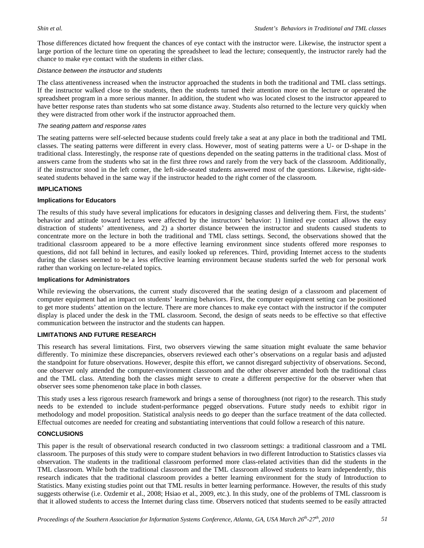Those differences dictated how frequent the chances of eye contact with the instructor were. Likewise, the instructor spent a large portion of the lecture time on operating the spreadsheet to lead the lecture; consequently, the instructor rarely had the chance to make eye contact with the students in either class.

#### *Distance between the instructor and students*

The class attentiveness increased when the instructor approached the students in both the traditional and TML class settings. If the instructor walked close to the students, then the students turned their attention more on the lecture or operated the spreadsheet program in a more serious manner. In addition, the student who was located closest to the instructor appeared to have better response rates than students who sat some distance away. Students also returned to the lecture very quickly when they were distracted from other work if the instructor approached them.

#### *The seating pattern and response rates*

The seating patterns were self-selected because students could freely take a seat at any place in both the traditional and TML classes. The seating patterns were different in every class. However, most of seating patterns were a U- or D-shape in the traditional class. Interestingly, the response rate of questions depended on the seating patterns in the traditional class. Most of answers came from the students who sat in the first three rows and rarely from the very back of the classroom. Additionally, if the instructor stood in the left corner, the left-side-seated students answered most of the questions. Likewise, right-sideseated students behaved in the same way if the instructor headed to the right corner of the classroom.

#### **IMPLICATIONS**

#### **Implications for Educators**

The results of this study have several implications for educators in designing classes and delivering them. First, the students' behavior and attitude toward lectures were affected by the instructors' behavior: 1) limited eye contact allows the easy distraction of students' attentiveness, and 2) a shorter distance between the instructor and students caused students to concentrate more on the lecture in both the traditional and TML class settings. Second, the observations showed that the traditional classroom appeared to be a more effective learning environment since students offered more responses to questions, did not fall behind in lectures, and easily looked up references. Third, providing Internet access to the students during the classes seemed to be a less effective learning environment because students surfed the web for personal work rather than working on lecture-related topics.

#### **Implications for Administrators**

While reviewing the observations, the current study discovered that the seating design of a classroom and placement of computer equipment had an impact on students' learning behaviors. First, the computer equipment setting can be positioned to get more students' attention on the lecture. There are more chances to make eye contact with the instructor if the computer display is placed under the desk in the TML classroom. Second, the design of seats needs to be effective so that effective communication between the instructor and the students can happen.

#### **LIMITATIONS AND FUTURE RESEARCH**

This research has several limitations. First, two observers viewing the same situation might evaluate the same behavior differently. To minimize these discrepancies, observers reviewed each other's observations on a regular basis and adjusted the standpoint for future observations. However, despite this effort, we cannot disregard subjectivity of observations. Second, one observer only attended the computer-environment classroom and the other observer attended both the traditional class and the TML class. Attending both the classes might serve to create a different perspective for the observer when that observer sees some phenomenon take place in both classes.

This study uses a less rigorous research framework and brings a sense of thoroughness (not rigor) to the research. This study needs to be extended to include student-performance pegged observations. Future study needs to exhibit rigor in methodology and model proposition. Statistical analysis needs to go deeper than the surface treatment of the data collected. Effectual outcomes are needed for creating and substantiating interventions that could follow a research of this nature.

#### **CONCLUSIONS**

This paper is the result of observational research conducted in two classroom settings: a traditional classroom and a TML classroom. The purposes of this study were to compare student behaviors in two different Introduction to Statistics classes via observation. The students in the traditional classroom performed more class-related activities than did the students in the TML classroom. While both the traditional classroom and the TML classroom allowed students to learn independently, this research indicates that the traditional classroom provides a better learning environment for the study of Introduction to Statistics. Many existing studies point out that TML results in better learning performance. However, the results of this study suggests otherwise (i.e. Ozdemir et al., 2008; Hsiao et al., 2009, etc.). In this study, one of the problems of TML classroom is that it allowed students to access the Internet during class time. Observers noticed that students seemed to be easily attracted